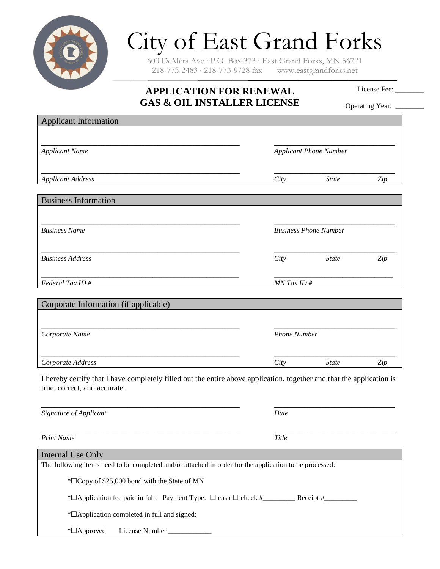

## City of East Grand Forks

600 DeMers Ave ∙ P.O. Box 373 ∙ East Grand Forks, MN 56721 218-773-2483 ∙ 218-773-9728 fax www.eastgrandforks.net

## **APPLICATION FOR RENEWAL GAS & OIL INSTALLER LICENSE**

License Fee:

| GAS & OIL INSTALLER LICENSE                                                                                                                           |                               |              | Operating Year: |
|-------------------------------------------------------------------------------------------------------------------------------------------------------|-------------------------------|--------------|-----------------|
| <b>Applicant Information</b>                                                                                                                          |                               |              |                 |
|                                                                                                                                                       |                               |              |                 |
| <b>Applicant Name</b>                                                                                                                                 | <b>Applicant Phone Number</b> |              |                 |
|                                                                                                                                                       |                               |              |                 |
| <b>Applicant Address</b>                                                                                                                              | City                          | <b>State</b> | Zip             |
| <b>Business Information</b>                                                                                                                           |                               |              |                 |
|                                                                                                                                                       |                               |              |                 |
|                                                                                                                                                       |                               |              |                 |
| <b>Business Name</b>                                                                                                                                  | <b>Business Phone Number</b>  |              |                 |
|                                                                                                                                                       |                               |              |                 |
| <b>Business Address</b>                                                                                                                               | City                          | <b>State</b> | Zip             |
| Federal Tax ID#                                                                                                                                       | $MN$ Tax ID $#$               |              |                 |
|                                                                                                                                                       |                               |              |                 |
| Corporate Information (if applicable)                                                                                                                 |                               |              |                 |
|                                                                                                                                                       |                               |              |                 |
| Corporate Name                                                                                                                                        | <b>Phone Number</b>           |              |                 |
|                                                                                                                                                       |                               |              |                 |
| Corporate Address                                                                                                                                     | City                          | <b>State</b> | Zip             |
| I hereby certify that I have completely filled out the entire above application, together and that the application is<br>true, correct, and accurate. |                               |              |                 |
|                                                                                                                                                       |                               |              |                 |
| Signature of Applicant                                                                                                                                | Date                          |              |                 |
| <b>Print Name</b>                                                                                                                                     | <b>Title</b>                  |              |                 |
| Internal Use Only                                                                                                                                     |                               |              |                 |
| The following items need to be completed and/or attached in order for the application to be processed:                                                |                               |              |                 |

\*Application fee paid in full: Payment Type: cash check #\_\_\_\_\_\_\_\_\_ Receipt #\_\_\_\_\_\_\_\_\_

\*Application completed in full and signed:

\*Copy of \$25,000 bond with the State of MN

\*Approved License Number \_\_\_\_\_\_\_\_\_\_\_\_